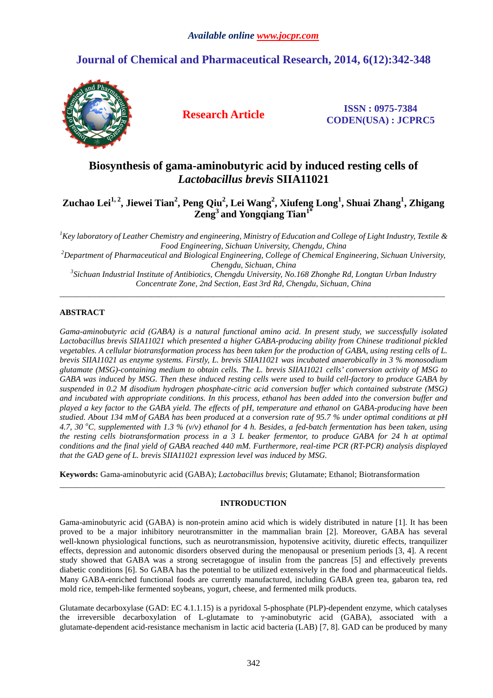# **Journal of Chemical and Pharmaceutical Research, 2014, 6(12):342-348**



**Research Article ISSN : 0975-7384 CODEN(USA) : JCPRC5**

## **Biosynthesis of gama-aminobutyric acid by induced resting cells of**  *Lactobacillus brevis* **SIIA11021**

## **Zuchao Lei1, 2, Jiewei Tian<sup>2</sup> , Peng Qiu<sup>2</sup> , Lei Wang<sup>2</sup> , Xiufeng Long<sup>1</sup> , Shuai Zhang<sup>1</sup> , Zhigang Zeng<sup>3</sup>and Yongqiang Tian1\***

*<sup>1</sup>Key laboratory of Leather Chemistry and engineering, Ministry of Education and College of Light Industry, Textile & Food Engineering, Sichuan University, Chengdu, China <sup>2</sup>Department of Pharmaceutical and Biological Engineering, College of Chemical Engineering, Sichuan University, Chengdu, Sichuan, China 3 Sichuan Industrial Institute of Antibiotics, Chengdu University, No.168 Zhonghe Rd, Longtan Urban Industry* 

*Concentrate Zone, 2nd Section, East 3rd Rd, Chengdu, Sichuan, China* \_\_\_\_\_\_\_\_\_\_\_\_\_\_\_\_\_\_\_\_\_\_\_\_\_\_\_\_\_\_\_\_\_\_\_\_\_\_\_\_\_\_\_\_\_\_\_\_\_\_\_\_\_\_\_\_\_\_\_\_\_\_\_\_\_\_\_\_\_\_\_\_\_\_\_\_\_\_\_\_\_\_\_\_\_\_\_\_\_\_\_\_\_

## **ABSTRACT**

*Gama-aminobutyric acid (GABA) is a natural functional amino acid. In present study, we successfully isolated Lactobacillus brevis SIIA11021 which presented a higher GABA-producing ability from Chinese traditional pickled vegetables. A cellular biotransformation process has been taken for the production of GABA, using resting cells of L. brevis SIIA11021 as enzyme systems. Firstly, L. brevis SIIA11021 was incubated anaerobically in 3 % monosodium glutamate (MSG)-containing medium to obtain cells. The L. brevis SIIA11021 cells' conversion activity of MSG to GABA was induced by MSG. Then these induced resting cells were used to build cell-factory to produce GABA by suspended in 0.2 M disodium hydrogen phosphate-citric acid conversion buffer which contained substrate (MSG) and incubated with appropriate conditions. In this process, ethanol has been added into the conversion buffer and played a key factor to the GABA yield. The effects of pH, temperature and ethanol on GABA-producing have been studied. About 134 mM of GABA has been produced at a conversion rate of 95.7 % under optimal conditions at pH 4.7, 30 <sup>o</sup>C, supplemented with 1.3 % (v/v) ethanol for 4 h. Besides, a fed-batch fermentation has been taken, using the resting cells biotransformation process in a 3 L beaker fermentor, to produce GABA for 24 h at optimal conditions and the final yield of GABA reached 440 mM. Furthermore, real-time PCR (RT-PCR) analysis displayed that the GAD gene of L. brevis SIIA11021 expression level was induced by MSG.* 

**Keywords:** Gama-aminobutyric acid (GABA); *Lactobacillus brevis*; Glutamate; Ethanol; Biotransformation

## **INTRODUCTION**

 $\overline{a}$  , and the contribution of the contribution of the contribution of the contribution of the contribution of the contribution of the contribution of the contribution of the contribution of the contribution of the co

Gama-aminobutyric acid (GABA) is non-protein amino acid which is widely distributed in nature [1]. It has been proved to be a major inhibitory neurotransmitter in the mammalian brain [2]. Moreover, GABA has several well-known physiological functions, such as neurotransmission, hypotensive acitivity, diuretic effects, tranquilizer effects, depression and autonomic disorders observed during the menopausal or presenium periods [3, 4]. A recent study showed that GABA was a strong secretagogue of insulin from the pancreas [5] and effectively prevents diabetic conditions [6]. So GABA has the potential to be utilized extensively in the food and pharmaceutical fields. Many GABA-enriched functional foods are currently manufactured, including GABA green tea, gabaron tea, red mold rice, tempeh-like fermented soybeans, yogurt, cheese, and fermented milk products.

Glutamate decarboxylase (GAD: EC 4.1.1.15) is a pyridoxal 5-phosphate (PLP)-dependent enzyme, which catalyses the irreversible decarboxylation of L-glutamate to  $\gamma$ -aminobutyric acid (GABA), associated with a glutamate-dependent acid-resistance mechanism in lactic acid bacteria (LAB) [7, 8]. GAD can be produced by many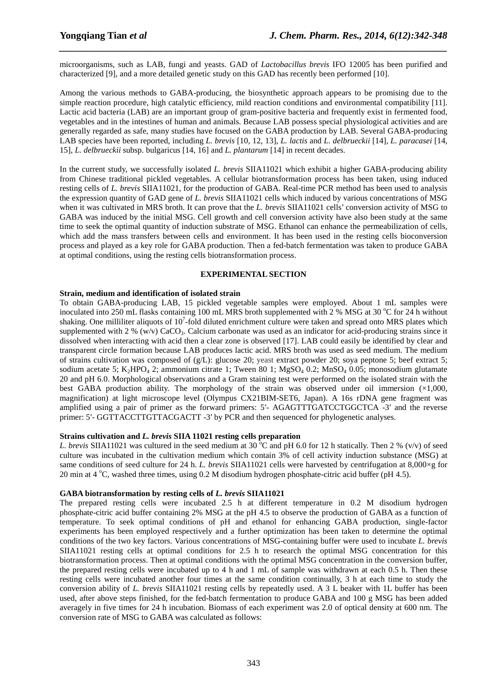microorganisms, such as LAB, fungi and yeasts. GAD of *Lactobacillus brevis* IFO 12005 has been purified and characterized [9], and a more detailed genetic study on this GAD has recently been performed [10].

*\_\_\_\_\_\_\_\_\_\_\_\_\_\_\_\_\_\_\_\_\_\_\_\_\_\_\_\_\_\_\_\_\_\_\_\_\_\_\_\_\_\_\_\_\_\_\_\_\_\_\_\_\_\_\_\_\_\_\_\_\_\_\_\_\_\_\_\_\_\_\_\_\_\_\_\_\_\_*

Among the various methods to GABA-producing, the biosynthetic approach appears to be promising due to the simple reaction procedure, high catalytic efficiency, mild reaction conditions and environmental compatibility [11]. Lactic acid bacteria (LAB) are an important group of gram-positive bacteria and frequently exist in fermented food, vegetables and in the intestines of human and animals. Because LAB possess special physiological activities and are generally regarded as safe, many studies have focused on the GABA production by LAB. Several GABA-producing LAB species have been reported, including *L. brevis* [10, 12, 13], *L. lactis* and *L. delbrueckii* [14], *L. paracasei* [14, 15], *L. delbrueckii* subsp. bulgaricus [14, 16] and *L. plantarum* [14] in recent decades.

In the current study, we successfully isolated *L. brevis* SIIA11021 which exhibit a higher GABA-producing ability from Chinese traditional pickled vegetables. A cellular biotransformation process has been taken, using induced resting cells of *L. brevis* SIIA11021, for the production of GABA. Real-time PCR method has been used to analysis the expression quantity of GAD gene of *L. brevis* SIIA11021 cells which induced by various concentrations of MSG when it was cultivated in MRS broth. It can prove that the *L. brevis* SIIA11021 cells' conversion activity of MSG to GABA was induced by the initial MSG. Cell growth and cell conversion activity have also been study at the same time to seek the optimal quantity of induction substrate of MSG. Ethanol can enhance the permeabilization of cells, which add the mass transfers between cells and environment. It has been used in the resting cells bioconversion process and played as a key role for GABA production. Then a fed-batch fermentation was taken to produce GABA at optimal conditions, using the resting cells biotransformation process.

#### **EXPERIMENTAL SECTION**

### **Strain, medium and identification of isolated strain**

To obtain GABA-producing LAB, 15 pickled vegetable samples were employed. About 1 mL samples were inoculated into 250 mL flasks containing 100 mL MRS broth supplemented with 2 % MSG at 30  $^{\circ}$ C for 24 h without shaking. One milliliter aliquots of  $10<sup>7</sup>$ -fold diluted enrichment culture were taken and spread onto MRS plates which supplemented with 2 % (w/v) CaCO<sub>3</sub>. Calcium carbonate was used as an indicator for acid-producing strains since it dissolved when interacting with acid then a clear zone is observed [17]. LAB could easily be identified by clear and transparent circle formation because LAB produces lactic acid. MRS broth was used as seed medium. The medium of strains cultivation was composed of  $(g/L)$ : glucose 20; yeast extract powder 20; soya peptone 5; beef extract 5; sodium acetate 5; K<sub>2</sub>HPO<sub>4</sub> 2; ammonium citrate 1; Tween 80 1; MgSO<sub>4</sub> 0.2; MnSO<sub>4</sub> 0.05; monosodium glutamate 20 and pH 6.0. Morphological observations and a Gram staining test were performed on the isolated strain with the best GABA production ability. The morphology of the strain was observed under oil immersion  $(\times1,000,$ magnification) at light microscope level (Olympus CX21BIM-SET6, Japan). A 16s rDNA gene fragment was amplified using a pair of primer as the forward primers: 5′- AGAGTTTGATCCTGGCTCA -3′ and the reverse primer: 5'- GGTTACCTTGTTACGACTT -3' by PCR and then sequenced for phylogenetic analyses.

## **Strains cultivation and** *L. brevis* **SIIA 11021 resting cells preparation**

*L. brevis* SIIA11021 was cultured in the seed medium at 30  $^{\circ}$ C and pH 6.0 for 12 h statically. Then 2 % (v/v) of seed culture was incubated in the cultivation medium which contain 3% of cell activity induction substance (MSG) at same conditions of seed culture for 24 h. *L. brevis* SIIA11021 cells were harvested by centrifugation at 8,000×g for 20 min at  $4^{\circ}$ C, washed three times, using 0.2 M disodium hydrogen phosphate-citric acid buffer (pH 4.5).

## **GABA biotransformation by resting cells of** *L. brevis* **SIIA11021**

The prepared resting cells were incubated 2.5 h at different temperature in 0.2 M disodium hydrogen phosphate-citric acid buffer containing 2% MSG at the pH 4.5 to observe the production of GABA as a function of temperature. To seek optimal conditions of pH and ethanol for enhancing GABA production, single-factor experiments has been employed respectively and a further optimization has been taken to determine the optimal conditions of the two key factors. Various concentrations of MSG-containing buffer were used to incubate *L. brevis* SIIA11021 resting cells at optimal conditions for 2.5 h to research the optimal MSG concentration for this biotransformation process. Then at optimal conditions with the optimal MSG concentration in the conversion buffer, the prepared resting cells were incubated up to 4 h and 1 mL of sample was withdrawn at each 0.5 h. Then these resting cells were incubated another four times at the same condition continually, 3 h at each time to study the conversion ability of *L. brevis* SIIA11021 resting cells by repeatedly used. A 3 L beaker with 1L buffer has been used, after above steps finished, for the fed-batch fermentation to produce GABA and 100 g MSG has been added averagely in five times for 24 h incubation. Biomass of each experiment was 2.0 of optical density at 600 nm. The conversion rate of MSG to GABA was calculated as follows: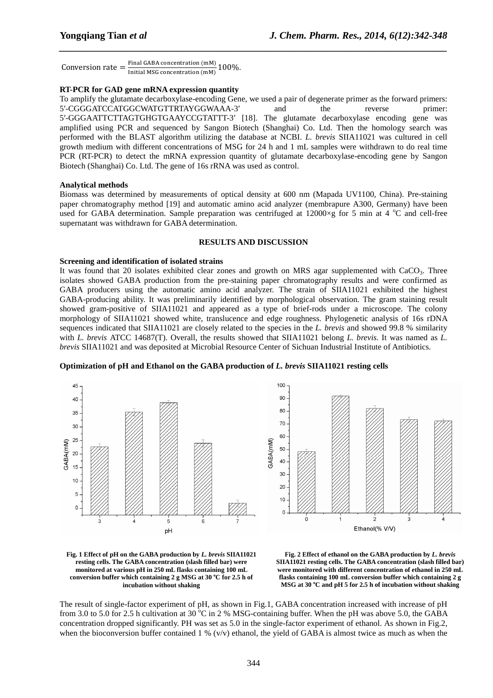Conversion rate  $=$   $\frac{\text{Final GABA concentration (mM)}}{\text{Initial MSG conservation (mM)}}$  100%. Initial MSG concentration (mM)

#### **RT-PCR for GAD gene mRNA expression quantity**

To amplify the glutamate decarboxylase-encoding Gene, we used a pair of degenerate primer as the forward primers: 5′-CGGGATCCATGGCWATGTTRTAYGGWAAA-3′ and the reverse primer: 5′-GGGAATTCTTAGTGHGTGAAYCCGTATTT-3′ [18]. The glutamate decarboxylase encoding gene was amplified using PCR and sequenced by Sangon Biotech (Shanghai) Co. Ltd. Then the homology search was performed with the BLAST algorithm utilizing the database at NCBI. *L. brevis* SIIA11021 was cultured in cell growth medium with different concentrations of MSG for 24 h and 1 mL samples were withdrawn to do real time PCR (RT-PCR) to detect the mRNA expression quantity of glutamate decarboxylase-encoding gene by Sangon Biotech (Shanghai) Co. Ltd. The gene of 16s rRNA was used as control.

*\_\_\_\_\_\_\_\_\_\_\_\_\_\_\_\_\_\_\_\_\_\_\_\_\_\_\_\_\_\_\_\_\_\_\_\_\_\_\_\_\_\_\_\_\_\_\_\_\_\_\_\_\_\_\_\_\_\_\_\_\_\_\_\_\_\_\_\_\_\_\_\_\_\_\_\_\_\_*

#### **Analytical methods**

Biomass was determined by measurements of optical density at 600 nm (Mapada UV1100, China). Pre-staining paper chromatography method [19] and automatic amino acid analyzer (membrapure A300, Germany) have been used for GABA determination. Sample preparation was centrifuged at  $12000\times g$  for 5 min at 4 °C and cell-free supernatant was withdrawn for GABA determination.

#### **RESULTS AND DISCUSSION**

#### **Screening and identification of isolated strains**

It was found that 20 isolates exhibited clear zones and growth on MRS agar supplemented with CaCO<sub>3</sub>. Three isolates showed GABA production from the pre-staining paper chromatography results and were confirmed as GABA producers using the automatic amino acid analyzer. The strain of SIIA11021 exhibited the highest GABA-producing ability. It was preliminarily identified by morphological observation. The gram staining result showed gram-positive of SIIA11021 and appeared as a type of brief-rods under a microscope. The colony morphology of SIIA11021 showed white, translucence and edge roughness. Phylogenetic analysis of 16s rDNA sequences indicated that SIIA11021 are closely related to the species in the *L. brevis* and showed 99.8 % similarity with *L. brevis* ATCC 14687(T). Overall, the results showed that SIIA11021 belong *L. brevis*. It was named as *L. brevis* SIIA11021 and was deposited at Microbial Resource Center of Sichuan Industrial Institute of Antibiotics.



#### **Optimization of pH and Ethanol on the GABA production of** *L. brevis* **SIIA11021 resting cells**

**Fig. 1 Effect of pH on the GABA production by** *L. brevis* **SIIA11021 resting cells. The GABA concentration (slash filled bar) were monitored at various pH in 250 mL flasks containing 100 mL conversion buffer which containing 2 g MSG at 30 <sup>o</sup>C for 2.5 h of incubation without shaking** 

**Fig. 2 Effect of ethanol on the GABA production by** *L. brevis* **SIIA11021 resting cells. The GABA concentration (slash filled bar) were monitored with different concentration of ethanol in 250 mL flasks containing 100 mL conversion buffer which containing 2 g MSG at 30 <sup>o</sup>C and pH 5 for 2.5 h of incubation without shaking** 

The result of single-factor experiment of pH, as shown in Fig.1, GABA concentration increased with increase of pH from 3.0 to 5.0 for 2.5 h cultivation at 30  $^{\circ}$ C in 2 % MSG-containing buffer. When the pH was above 5.0, the GABA concentration dropped significantly. PH was set as 5.0 in the single-factor experiment of ethanol. As shown in Fig.2, when the bioconversion buffer contained 1 %  $(v/v)$  ethanol, the yield of GABA is almost twice as much as when the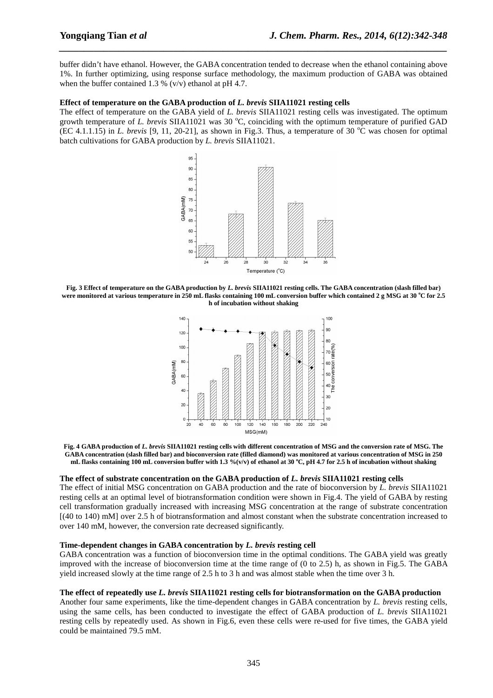buffer didn't have ethanol. However, the GABA concentration tended to decrease when the ethanol containing above 1%. In further optimizing, using response surface methodology, the maximum production of GABA was obtained when the buffer contained 1.3 %  $(v/v)$  ethanol at pH 4.7.

*\_\_\_\_\_\_\_\_\_\_\_\_\_\_\_\_\_\_\_\_\_\_\_\_\_\_\_\_\_\_\_\_\_\_\_\_\_\_\_\_\_\_\_\_\_\_\_\_\_\_\_\_\_\_\_\_\_\_\_\_\_\_\_\_\_\_\_\_\_\_\_\_\_\_\_\_\_\_*

#### **Effect of temperature on the GABA production of** *L. brevis* **SIIA11021 resting cells**

The effect of temperature on the GABA yield of *L. brevis* SIIA11021 resting cells was investigated. The optimum growth temperature of *L. brevis* SIIA11021 was 30 °C, coinciding with the optimum temperature of purified GAD (EC 4.1.1.15) in *L. brevis* [9, 11, 20-21], as shown in Fig.3. Thus, a temperature of 30  $^{\circ}$ C was chosen for optimal batch cultivations for GABA production by *L. brevis* SIIA11021.



**Fig. 3 Effect of temperature on the GABA production by** *L. brevis* **SIIA11021 resting cells. The GABA concentration (slash filled bar) were monitored at various temperature in 250 mL flasks containing 100 mL conversion buffer which contained 2 g MSG at 30 <sup>o</sup>C for 2.5 h of incubation without shaking** 



**Fig. 4 GABA production of** *L. brevis* **SIIA11021 resting cells with different concentration of MSG and the conversion rate of MSG. The GABA concentration (slash filled bar) and bioconversion rate (filled diamond) was monitored at various concentration of MSG in 250 mL flasks containing 100 mL conversion buffer with 1.3 %(v/v) of ethanol at 30 <sup>o</sup>C, pH 4.7 for 2.5 h of incubation without shaking** 

#### **The effect of substrate concentration on the GABA production of** *L. brevis* **SIIA11021 resting cells**

The effect of initial MSG concentration on GABA production and the rate of bioconversion by *L. brevis* SIIA11021 resting cells at an optimal level of biotransformation condition were shown in Fig.4. The yield of GABA by resting cell transformation gradually increased with increasing MSG concentration at the range of substrate concentration [(40 to 140) mM] over 2.5 h of biotransformation and almost constant when the substrate concentration increased to over 140 mM, however, the conversion rate decreased significantly.

#### **Time-dependent changes in GABA concentration by** *L. brevis* **resting cell**

GABA concentration was a function of bioconversion time in the optimal conditions. The GABA yield was greatly improved with the increase of bioconversion time at the time range of (0 to 2.5) h, as shown in Fig.5. The GABA yield increased slowly at the time range of 2.5 h to 3 h and was almost stable when the time over 3 h.

#### **The effect of repeatedly use** *L. brevis* **SIIA11021 resting cells for biotransformation on the GABA production**

Another four same experiments, like the time-dependent changes in GABA concentration by *L. brevis* resting cells, using the same cells, has been conducted to investigate the effect of GABA production of *L. brevis* SIIA11021 resting cells by repeatedly used. As shown in Fig.6, even these cells were re-used for five times, the GABA yield could be maintained 79.5 mM.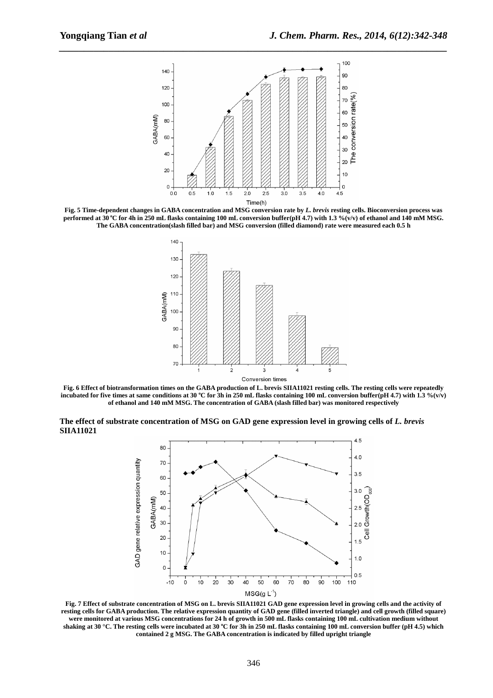

*\_\_\_\_\_\_\_\_\_\_\_\_\_\_\_\_\_\_\_\_\_\_\_\_\_\_\_\_\_\_\_\_\_\_\_\_\_\_\_\_\_\_\_\_\_\_\_\_\_\_\_\_\_\_\_\_\_\_\_\_\_\_\_\_\_\_\_\_\_\_\_\_\_\_\_\_\_\_*

**Fig. 5 Time-dependent changes in GABA concentration and MSG conversion rate by** *L. brevis* **resting cells. Bioconversion process was performed at 30<sup>o</sup>C for 4h in 250 mL flasks containing 100 mL conversion buffer(pH 4.7) with 1.3 %(v/v) of ethanol and 140 mM MSG. The GABA concentration(slash filled bar) and MSG conversion (filled diamond) rate were measured each 0.5 h** 



**Fig. 6 Effect of biotransformation times on the GABA production of L. brevis SIIA11021 resting cells. The resting cells were repeatedly**  incubated for five times at same conditions at 30 °C for 3h in 250 mL flasks containing 100 mL conversion buffer( $\overline{p}H$  4.7) with 1.3 %( $\overline{v}$ /v) **of ethanol and 140 mM MSG. The concentration of GABA (slash filled bar) was monitored respectively** 

**The effect of substrate concentration of MSG on GAD gene expression level in growing cells of** *L. brevis* **SIIA11021** 



**Fig. 7 Effect of substrate concentration of MSG on L. brevis SIIA11021 GAD gene expression level in growing cells and the activity of resting cells for GABA production. The relative expression quantity of GAD gene (filled inverted triangle) and cell growth (filled square) were monitored at various MSG concentrations for 24 h of growth in 500 mL flasks containing 100 mL cultivation medium without shaking at 30 °C. The resting cells were incubated at 30 <sup>o</sup>C for 3h in 250 mL flasks containing 100 mL conversion buffer (pH 4.5) which contained 2 g MSG. The GABA concentration is indicated by filled upright triangle**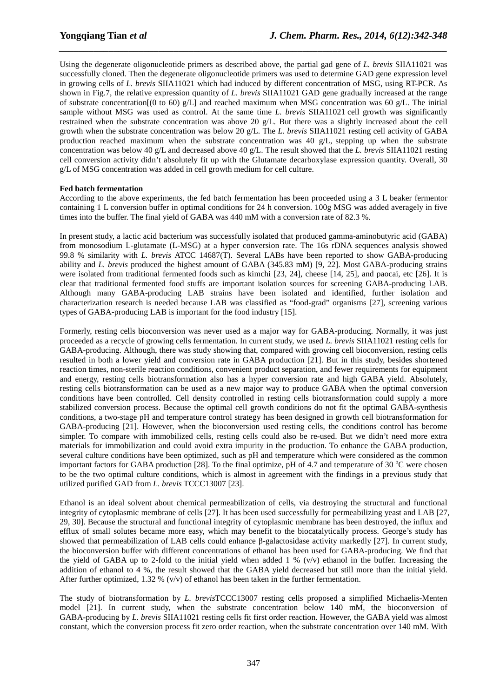Using the degenerate oligonucleotide primers as described above, the partial gad gene of *L. brevis* SIIA11021 was successfully cloned. Then the degenerate oligonucleotide primers was used to determine GAD gene expression level in growing cells of *L. brevis* SIIA11021 which had induced by different concentration of MSG, using RT-PCR. As shown in Fig.7, the relative expression quantity of *L. brevis* SIIA11021 GAD gene gradually increased at the range of substrate concentration $(0 \text{ to } 60)$  g/L] and reached maximum when MSG concentration was 60 g/L. The initial sample without MSG was used as control. At the same time *L. brevis* SIIA11021 cell growth was significantly restrained when the substrate concentration was above 20 g/L. But there was a slightly increased about the cell growth when the substrate concentration was below 20 g/L. The *L. brevis* SIIA11021 resting cell activity of GABA production reached maximum when the substrate concentration was 40 g/L, stepping up when the substrate concentration was below 40 g/L and decreased above 40 g/L. The result showed that the *L. brevis* SIIA11021 resting cell conversion activity didn't absolutely fit up with the Glutamate decarboxylase expression quantity. Overall, 30 g/L of MSG concentration was added in cell growth medium for cell culture.

*\_\_\_\_\_\_\_\_\_\_\_\_\_\_\_\_\_\_\_\_\_\_\_\_\_\_\_\_\_\_\_\_\_\_\_\_\_\_\_\_\_\_\_\_\_\_\_\_\_\_\_\_\_\_\_\_\_\_\_\_\_\_\_\_\_\_\_\_\_\_\_\_\_\_\_\_\_\_*

#### **Fed batch fermentation**

According to the above experiments, the fed batch fermentation has been proceeded using a 3 L beaker fermentor containing 1 L conversion buffer in optimal conditions for 24 h conversion. 100g MSG was added averagely in five times into the buffer. The final yield of GABA was 440 mM with a conversion rate of 82.3 %.

In present study, a lactic acid bacterium was successfully isolated that produced gamma-aminobutyric acid (GABA) from monosodium L-glutamate (L-MSG) at a hyper conversion rate. The 16s rDNA sequences analysis showed 99.8 % similarity with *L. brevis* ATCC 14687(T). Several LABs have been reported to show GABA-producing ability and *L. brevis* produced the highest amount of GABA (345.83 mM) [9, 22]. Most GABA-producing strains were isolated from traditional fermented foods such as kimchi [23, 24], cheese [14, 25], and paocai, etc [26]. It is clear that traditional fermented food stuffs are important isolation sources for screening GABA-producing LAB. Although many GABA-producing LAB strains have been isolated and identified, further isolation and characterization research is needed because LAB was classified as "food-grad" organisms [27], screening various types of GABA-producing LAB is important for the food industry [15].

Formerly, resting cells bioconversion was never used as a major way for GABA-producing. Normally, it was just proceeded as a recycle of growing cells fermentation. In current study, we used *L. brevis* SIIA11021 resting cells for GABA-producing. Although, there was study showing that, compared with growing cell bioconversion, resting cells resulted in both a lower yield and conversion rate in GABA production [21]. But in this study, besides shortened reaction times, non-sterile reaction conditions, convenient product separation, and fewer requirements for equipment and energy, resting cells biotransformation also has a hyper conversion rate and high GABA yield. Absolutely, resting cells biotransformation can be used as a new major way to produce GABA when the optimal conversion conditions have been controlled. Cell density controlled in resting cells biotransformation could supply a more stabilized conversion process. Because the optimal cell growth conditions do not fit the optimal GABA-synthesis conditions, a two-stage pH and temperature control strategy has been designed in growth cell biotransformation for GABA-producing [21]. However, when the bioconversion used resting cells, the conditions control has become simpler. To compare with immobilized cells, resting cells could also be re-used. But we didn't need more extra materials for immobilization and could avoid extra impurity in the production. To enhance the GABA production, several culture conditions have been optimized, such as pH and temperature which were considered as the common important factors for GABA production [28]. To the final optimize, pH of 4.7 and temperature of 30  $^{\circ}$ C were chosen to be the two optimal culture conditions, which is almost in agreement with the findings in a previous study that utilized purified GAD from *L. brevis* TCCC13007 [23].

Ethanol is an ideal solvent about chemical permeabilization of cells, via destroying the structural and functional integrity of cytoplasmic membrane of cells [27]. It has been used successfully for permeabilizing yeast and LAB [27, 29, 30]. Because the structural and functional integrity of cytoplasmic membrane has been destroyed, the influx and efflux of small solutes became more easy, which may benefit to the biocatalytically process. George's study has showed that permeabilization of LAB cells could enhance β-galactosidase activity markedly [27]. In current study, the bioconversion buffer with different concentrations of ethanol has been used for GABA-producing. We find that the yield of GABA up to 2-fold to the initial yield when added  $1\%$  (v/v) ethanol in the buffer. Increasing the addition of ethanol to 4 %, the result showed that the GABA yield decreased but still more than the initial yield. After further optimized,  $1.32\%$  (v/v) of ethanol has been taken in the further fermentation.

The study of biotransformation by *L. brevis*TCCC13007 resting cells proposed a simplified Michaelis-Menten model [21]. In current study, when the substrate concentration below 140 mM, the bioconversion of GABA-producing by *L. brevis* SIIA11021 resting cells fit first order reaction. However, the GABA yield was almost constant, which the conversion process fit zero order reaction, when the substrate concentration over 140 mM. With